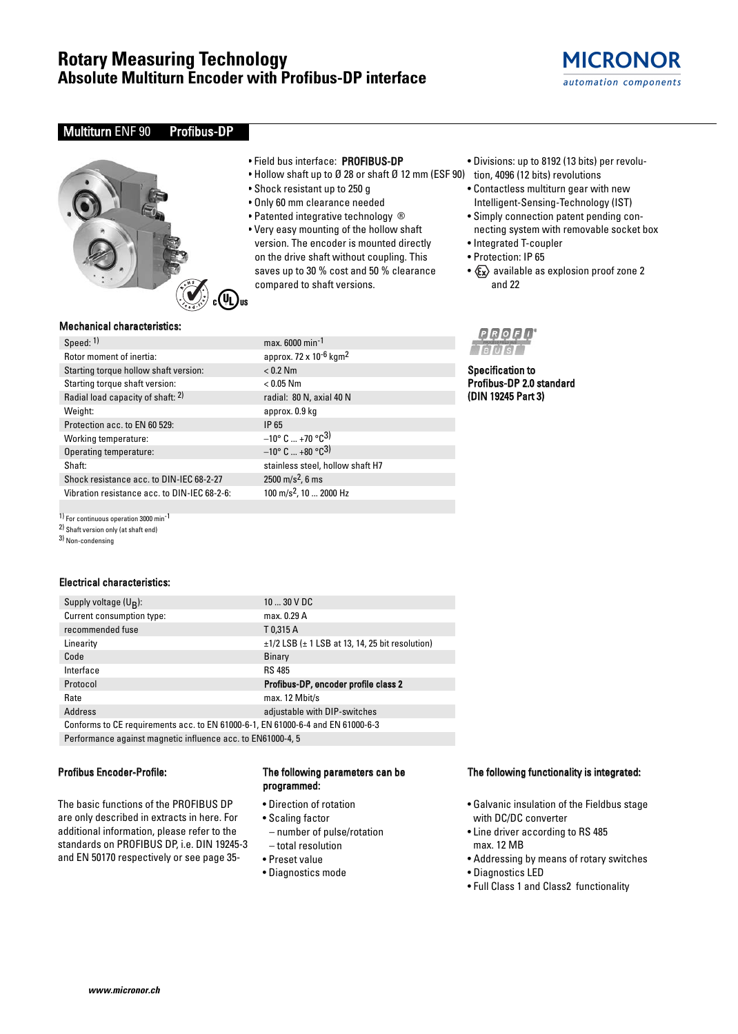

### Multiturn ENF 90 Profibus-DP



#### • Field bus interface: PROFIBUS-DP

- Hollow shaft up to Ø 28 or shaft Ø 12 mm (ESF 90) tion, 4096 (12 bits) revolutions
- Shock resistant up to 250 g

 $max. 6000 min<sup>-1</sup>$ approx. 72 x 10 $-6$  kgm<sup>2</sup>

radial: 80 N, axial 40 N approx. 0.9 kg

stainless steel, hollow shaft H7

 $-10^{\circ}$  C ... +70 °C<sup>3)</sup>  $-10^{\circ}$  C  $...$  +80  $^{\circ}$ C<sup>3</sup>)

 $2500 \text{ m/s}^2$ , 6 ms 100 m/s<sup>2</sup>, 10 ... 2000 Hz

 $< 0.2$  Nm  $< 0.05$  Nm

- Only 60 mm clearance needed
- Patented integrative technology ®
- Very easy mounting of the hollow shaft version. The encoder is mounted directly on the drive shaft without coupling. This saves up to 30 % cost and 50 % clearance compared to shaft versions.
- Divisions: up to 8192 (13 bits) per revolu-
- 
- Contactless multiturn gear with new Intelligent-Sensing-Technology (IST)
- Simply connection patent pending connecting system with removable socket box
- Integrated T-coupler
- Protection: IP 65

Specification to Profibus-DP 2.0 standard (DIN 19245 Part 3)

**PROFI** 

•  $x \rightarrow \infty$  available as explosion proof zone 2 and 22

#### Mechanical characteristics:

|  | speed: ''                                    | max.          |
|--|----------------------------------------------|---------------|
|  | Rotor moment of inertia:                     | appr          |
|  | Starting torque hollow shaft version:        | ${}_{<}0.2$   |
|  | Starting torque shaft version:               | < 0.0         |
|  | Radial load capacity of shaft: 2)            | radia         |
|  | Weight:                                      | appr          |
|  | Protection acc. to EN 60 529:                | IP 65         |
|  | Working temperature:                         | $-10^{\circ}$ |
|  | Operating temperature:                       | $-10^{\circ}$ |
|  | Shaft:                                       | stain         |
|  | Shock resistance acc. to DIN-IEC 68-2-27     | 2500          |
|  | Vibration resistance acc. to DIN-IEC 68-2-6: | 100 r         |
|  |                                              |               |

1) For continuous operation 3000 min-1

2) Shaft version only (at shaft end)

3) Non-condensing

#### Electrical characteristics:

| $1030$ V DC                                                                     |  |  |  |
|---------------------------------------------------------------------------------|--|--|--|
| max. 0.29 A                                                                     |  |  |  |
| T0,315 A                                                                        |  |  |  |
| $\pm$ 1/2 LSB ( $\pm$ 1 LSB at 13, 14, 25 bit resolution)                       |  |  |  |
| <b>Binary</b>                                                                   |  |  |  |
| <b>RS 485</b>                                                                   |  |  |  |
| Profibus-DP, encoder profile class 2                                            |  |  |  |
| max. 12 Mbit/s                                                                  |  |  |  |
| adjustable with DIP-switches                                                    |  |  |  |
| Conforms to CE requirements acc. to EN 61000-6-1, EN 61000-6-4 and EN 61000-6-3 |  |  |  |
|                                                                                 |  |  |  |

Performance against magnetic influence acc. to EN61000-4, 5

#### Profibus Encoder-Profile:

The basic functions of the PROFIBUS DP are only described in extracts in here. For additional information, please refer to the standards on PROFIBUS DP, i.e. DIN 19245-3 and EN 50170 respectively or see page 35-

#### The following parameters can be programmed:

- Direction of rotation
- Scaling factor
- number of pulse/rotation – total resolution
- 
- Preset value
- Diagnostics mode

#### The following functionality is integrated:

- Galvanic insulation of the Fieldbus stage with DC/DC converter
- Line driver according to RS 485 max. 12 MB
- Addressing by means of rotary switches
- Diagnostics LED
- Full Class 1 and Class2 functionality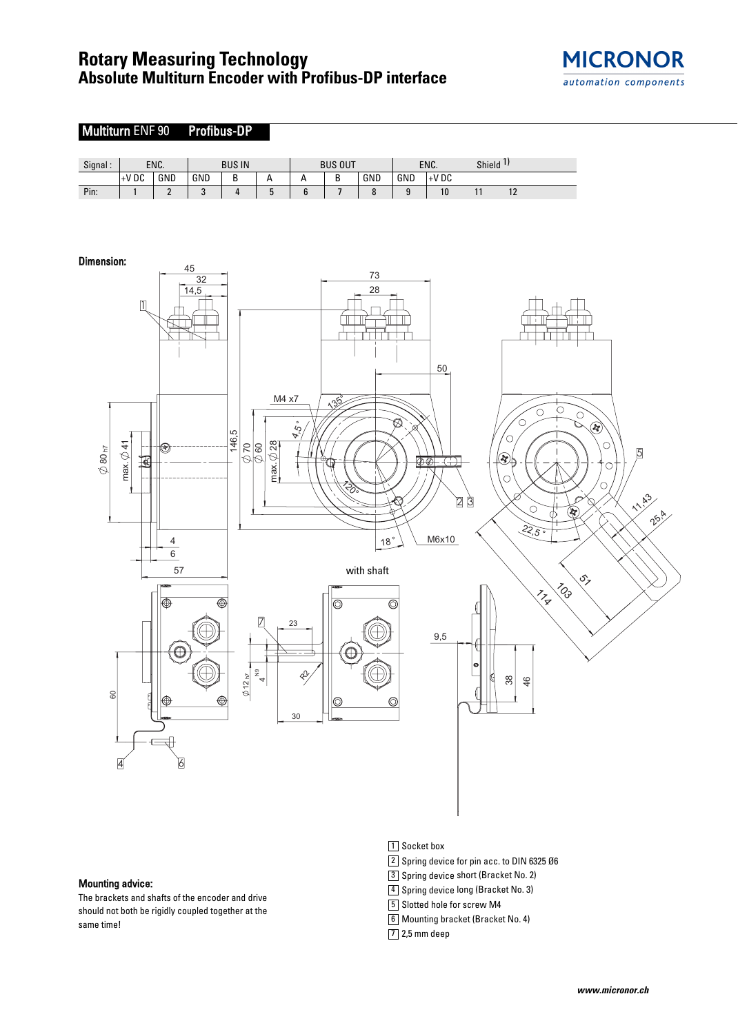## **Rotary Measuring Technology Absolute Multiturn Encoder with Profibus-DP interface**





#### Mounting advice:

The brackets and shafts of the encoder and drive should not both be rigidly coupled together at the same time!

- 1 Socket box
- 2 Spring device for pin acc. to DIN 6325 Ø6
- 3 Spring device short (Bracket No. 2)
- 4 Spring device long (Bracket No. 3)
- 5 Slotted hole for screw M4
- Mounting bracket (Bracket No. 4) 6
- 7 2,5 mm deep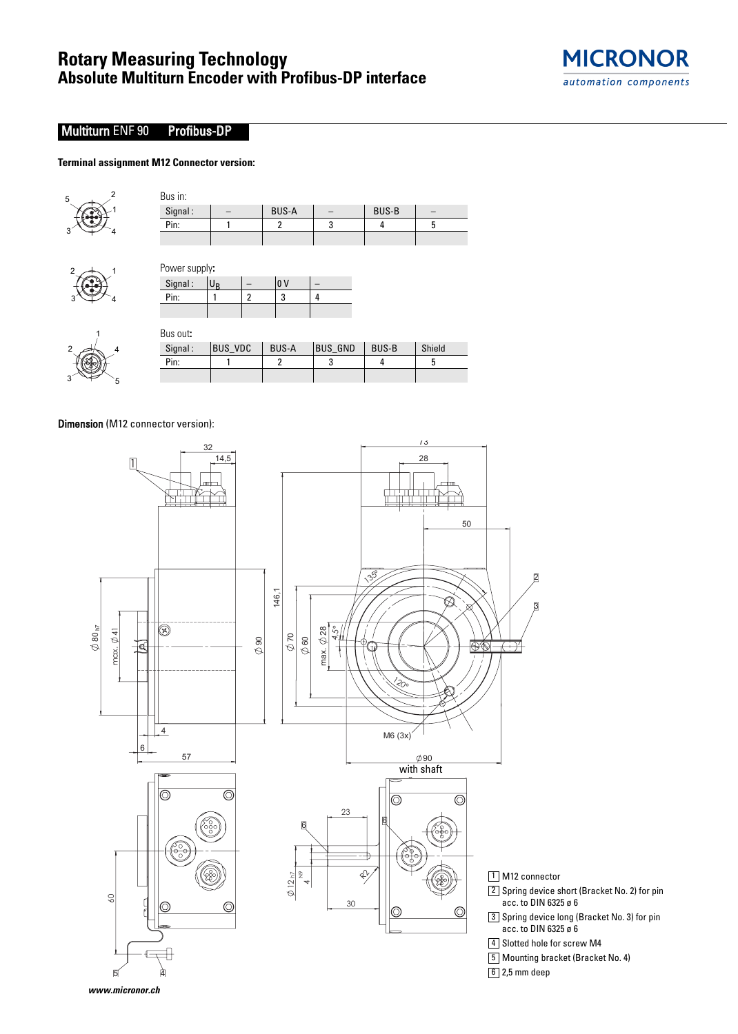

## Multiturn ENF 90 Profibus-DP

#### **Terminal assignment M12 Connector version:**



 $2 \div 1$ 

 $3 \Leftrightarrow 3$ 

| Bus in:                  |             |   |              |   |              |   |
|--------------------------|-------------|---|--------------|---|--------------|---|
| Signal:                  |             |   | <b>BUS-A</b> |   | <b>BUS-B</b> |   |
| Pin:                     |             |   | 2            | 3 |              | 5 |
|                          |             |   |              |   |              |   |
|                          |             |   |              |   |              |   |
|                          |             |   |              |   |              |   |
| Power supply:<br>Signal: | $U_{\rm B}$ |   | lo v         |   |              |   |
| Pin:                     |             | 2 | 3            | 4 |              |   |

| Bus out: |                |              |                |              |        |
|----------|----------------|--------------|----------------|--------------|--------|
| Signal:  | <b>BUS VDC</b> | <b>BUS-A</b> | <b>BUS GND</b> | <b>BUS-B</b> | Shield |
| Pin:     |                |              |                |              |        |
|          |                |              |                |              |        |

Dimension (M12 connector version):

4

5

1

3

2



- $2\rfloor$  Spring device short (Bracket No. 2) for pin acc. to DIN 6325 ø 6
- $3\rfloor$  Spring device long (Bracket No. 3) for pin acc. to DIN 6325 ø 6

4 Slotted hole for screw M4

- Mounting bracket (Bracket No. 4) 5
- 6 2,5 mm deep

**www.micronor.ch**